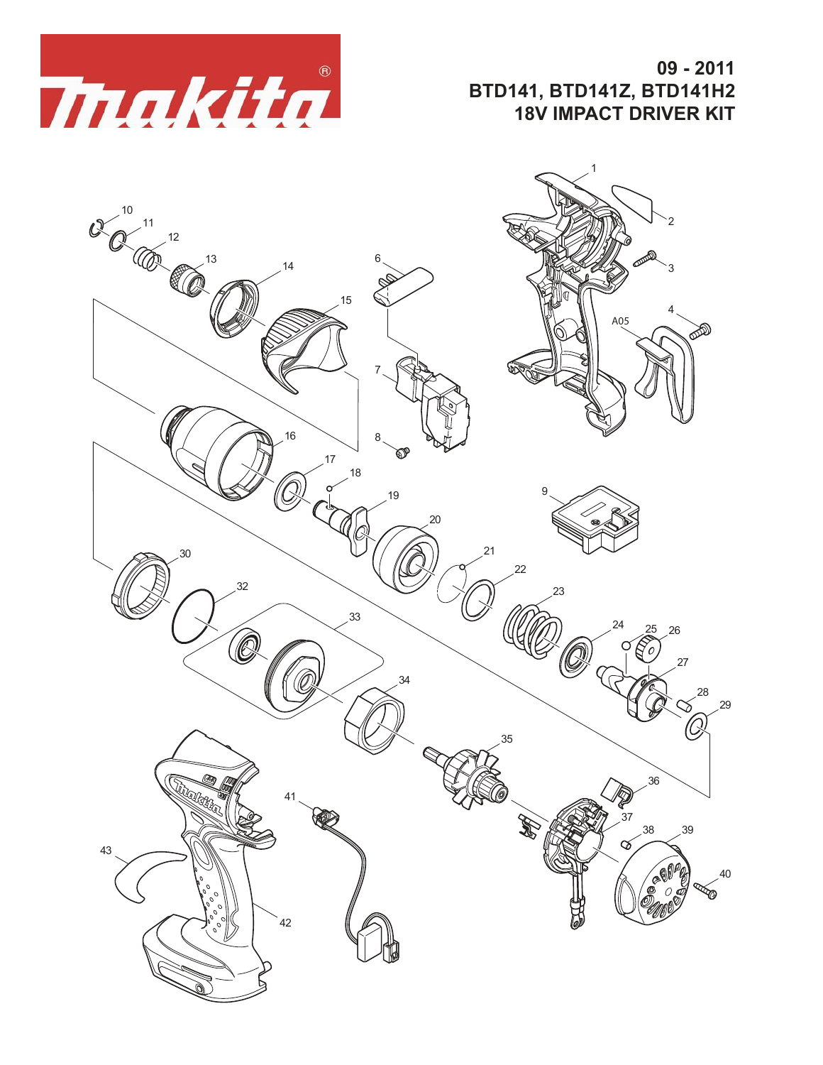

## **09 - 2011 BTD141, BTD141Z, BTD141H2 18V IMPACT DRIVER KIT**

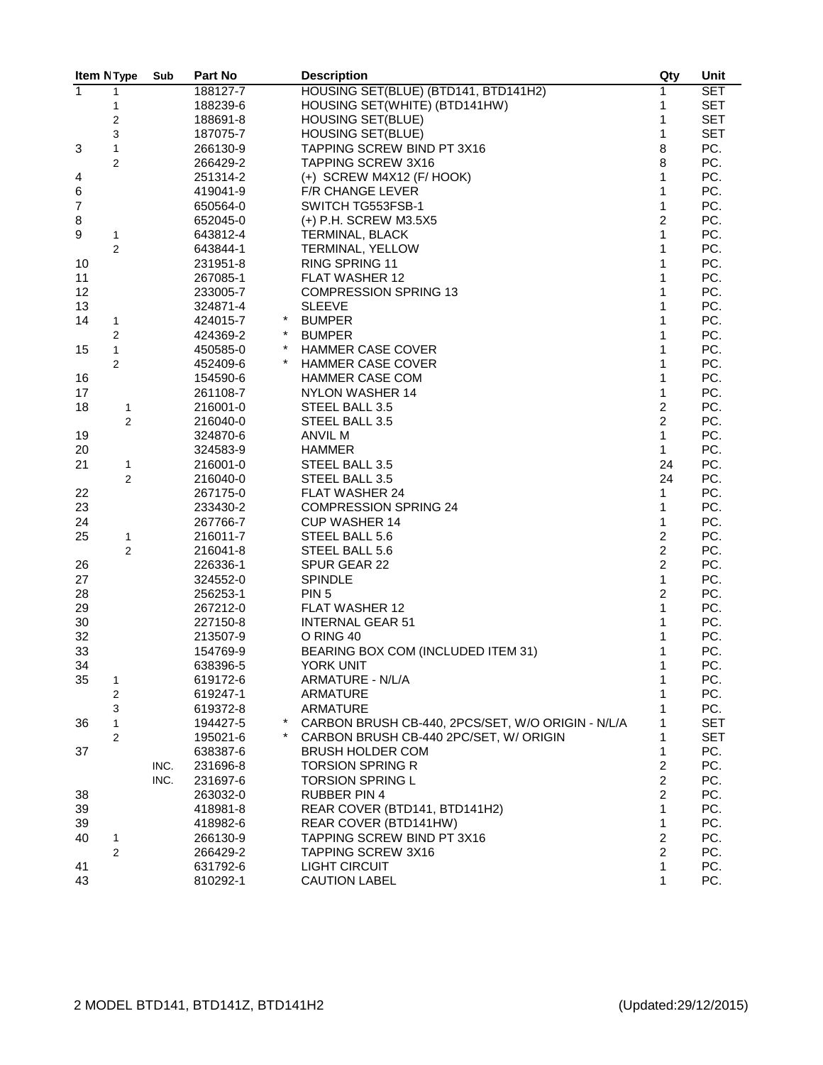|                  | Item N Type         | Sub  | Part No              | <b>Description</b>                                | Qty              | Unit       |
|------------------|---------------------|------|----------------------|---------------------------------------------------|------------------|------------|
| $\overline{1}$   | 1                   |      | 188127-7             | HOUSING SET(BLUE) (BTD141, BTD141H2)              | 1                | <b>SET</b> |
|                  | 1                   |      | 188239-6             | HOUSING SET(WHITE) (BTD141HW)                     | 1                | <b>SET</b> |
|                  | 2                   |      | 188691-8             | <b>HOUSING SET(BLUE)</b>                          | 1                | <b>SET</b> |
|                  | 3                   |      | 187075-7             | <b>HOUSING SET(BLUE)</b>                          | $\mathbf{1}$     | <b>SET</b> |
| 3                | $\mathbf{1}$        |      | 266130-9             | TAPPING SCREW BIND PT 3X16                        | 8                | PC.        |
|                  | 2                   |      | 266429-2             | <b>TAPPING SCREW 3X16</b>                         | 8                | PC.        |
| 4                |                     |      | 251314-2             | $(+)$ SCREW M4X12 (F/HOOK)                        | $\mathbf{1}$     | PC.        |
| 6                |                     |      | 419041-9             | F/R CHANGE LEVER                                  | $\mathbf{1}$     | PC.        |
| $\boldsymbol{7}$ |                     |      | 650564-0             | SWITCH TG553FSB-1                                 | $\mathbf{1}$     | PC.        |
| 8                |                     |      | 652045-0             | (+) P.H. SCREW M3.5X5                             | $\overline{c}$   | PC.        |
| 9                | 1                   |      | 643812-4             | TERMINAL, BLACK                                   | $\mathbf{1}$     | PC.        |
|                  | 2                   |      | 643844-1             | TERMINAL, YELLOW                                  | $\mathbf{1}$     | PC.        |
| 10               |                     |      | 231951-8             | RING SPRING 11                                    | $\mathbf{1}$     | PC.        |
| 11               |                     |      | 267085-1             | FLAT WASHER 12                                    | $\mathbf{1}$     | PC.        |
| 12               |                     |      | 233005-7             | <b>COMPRESSION SPRING 13</b>                      | $\mathbf{1}$     | PC.        |
| 13               |                     |      | 324871-4             | <b>SLEEVE</b>                                     | 1                | PC.        |
| 14               | 1                   |      | 424015-7             | <b>BUMPER</b>                                     | $\mathbf{1}$     | PC.        |
|                  | $\overline{c}$      |      | 424369-2             | <b>BUMPER</b>                                     | $\mathbf{1}$     | PC.        |
| 15               | $\mathbf{1}$        |      | $^\star$<br>450585-0 | <b>HAMMER CASE COVER</b>                          | 1                | PC.        |
|                  | 2                   |      | 452409-6             | <b>HAMMER CASE COVER</b>                          | $\mathbf{1}$     | PC.        |
| 16               |                     |      | 154590-6             | <b>HAMMER CASE COM</b>                            | $\mathbf{1}$     | PC.        |
| 17               |                     |      | 261108-7             | <b>NYLON WASHER 14</b>                            | $\mathbf{1}$     | PC.        |
| 18               | 1                   |      | 216001-0             | STEEL BALL 3.5                                    | $\overline{c}$   | PC.        |
|                  | $\overline{2}$      |      | 216040-0             | STEEL BALL 3.5                                    | $\overline{2}$   | PC.        |
| 19               |                     |      | 324870-6             | ANVIL M                                           | $\mathbf{1}$     | PC.        |
| 20               |                     |      | 324583-9             | <b>HAMMER</b>                                     | $\mathbf{1}$     | PC.        |
| 21               | 1                   |      | 216001-0             | STEEL BALL 3.5                                    | 24               | PC.        |
|                  | $\boldsymbol{2}$    |      | 216040-0             | STEEL BALL 3.5                                    | 24               | PC.        |
| 22               |                     |      | 267175-0             | FLAT WASHER 24                                    | 1                | PC.        |
| 23               |                     |      | 233430-2             | <b>COMPRESSION SPRING 24</b>                      | $\mathbf{1}$     | PC.        |
| 24               |                     |      | 267766-7             | <b>CUP WASHER 14</b>                              | $\mathbf{1}$     | PC.        |
| 25               |                     |      | 216011-7             |                                                   | $\overline{c}$   | PC.        |
|                  | 1<br>$\overline{2}$ |      | 216041-8             | STEEL BALL 5.6<br>STEEL BALL 5.6                  | $\overline{c}$   | PC.        |
| 26               |                     |      | 226336-1             | SPUR GEAR 22                                      | $\overline{2}$   | PC.        |
| 27               |                     |      | 324552-0             | <b>SPINDLE</b>                                    | $\mathbf{1}$     | PC.        |
| 28               |                     |      |                      | PIN <sub>5</sub>                                  | $\overline{c}$   | PC.        |
| 29               |                     |      | 256253-1<br>267212-0 | <b>FLAT WASHER 12</b>                             | $\mathbf{1}$     | PC.        |
| $30\,$           |                     |      | 227150-8             | <b>INTERNAL GEAR 51</b>                           | $\mathbf{1}$     | PC.        |
| 32               |                     |      |                      | O RING 40                                         | 1                | PC.        |
| 33               |                     |      | 213507-9<br>154769-9 | BEARING BOX COM (INCLUDED ITEM 31)                | $\mathbf{1}$     | PC.        |
| 34               |                     |      | 638396-5             | YORK UNIT                                         | $\mathbf{1}$     | PC.        |
| 35               |                     |      | 619172-6             |                                                   | 1                | PC.        |
|                  | 1                   |      |                      | ARMATURE - N/L/A                                  | 1                | PC.        |
|                  | 2                   |      | 619247-1             | <b>ARMATURE</b>                                   | 1                | PC.        |
|                  | 3                   |      | 619372-8             | <b>ARMATURE</b>                                   |                  |            |
| 36               | 1                   |      | 194427-5             | CARBON BRUSH CB-440, 2PCS/SET, W/O ORIGIN - N/L/A | 1                | <b>SET</b> |
|                  | $\overline{2}$      |      | 195021-6             | CARBON BRUSH CB-440 2PC/SET, W/ ORIGIN            | 1                | <b>SET</b> |
| 37               |                     |      | 638387-6             | <b>BRUSH HOLDER COM</b>                           | $\mathbf{1}$     | PC.        |
|                  |                     | INC. | 231696-8             | <b>TORSION SPRING R</b>                           | $\overline{c}$   | PC.        |
|                  |                     | INC. | 231697-6             | <b>TORSION SPRING L</b>                           | $\overline{c}$   | PC.        |
| 38               |                     |      | 263032-0             | <b>RUBBER PIN 4</b>                               | $\overline{c}$   | PC.        |
| 39               |                     |      | 418981-8             | REAR COVER (BTD141, BTD141H2)                     | $\mathbf{1}$     | PC.        |
| 39               |                     |      | 418982-6             | REAR COVER (BTD141HW)                             | 1                | PC.        |
| 40               | $\mathbf{1}$        |      | 266130-9             | TAPPING SCREW BIND PT 3X16                        | $\overline{c}$   | PC.        |
|                  | $\overline{2}$      |      | 266429-2             | <b>TAPPING SCREW 3X16</b>                         | $\boldsymbol{2}$ | PC.        |
| 41               |                     |      | 631792-6             | <b>LIGHT CIRCUIT</b>                              | $\mathbf{1}$     | PC.        |
| 43               |                     |      | 810292-1             | <b>CAUTION LABEL</b>                              | $\mathbf{1}$     | PC.        |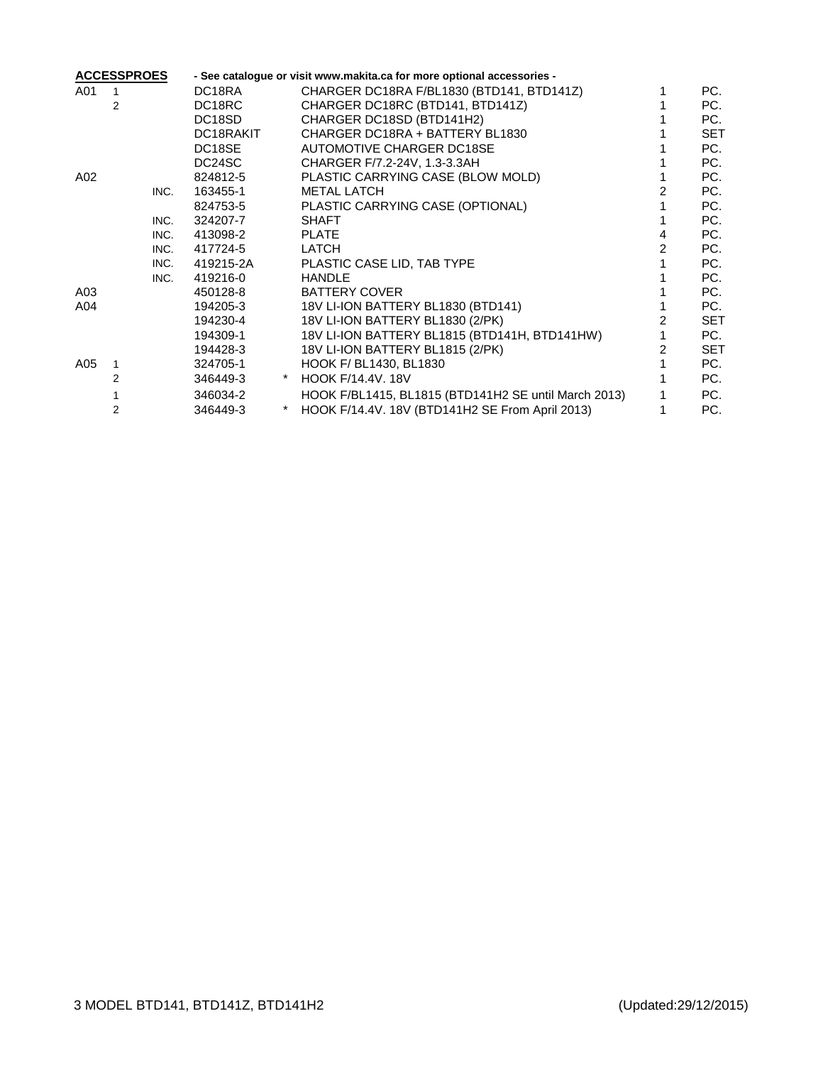| <b>ACCESSPROES</b> |      |                     | - See catalogue or visit www.makita.ca for more optional accessories - |                                                      |   |     |  |
|--------------------|------|---------------------|------------------------------------------------------------------------|------------------------------------------------------|---|-----|--|
| A01                |      | DC18RA              |                                                                        | CHARGER DC18RA F/BL1830 (BTD141, BTD141Z)            |   | PC. |  |
|                    | 2    | DC <sub>18</sub> RC |                                                                        | CHARGER DC18RC (BTD141, BTD141Z)                     |   | PC. |  |
|                    |      | DC <sub>18</sub> SD |                                                                        | CHARGER DC18SD (BTD141H2)                            |   | PC. |  |
|                    |      | DC18RAKIT           |                                                                        | CHARGER DC18RA + BATTERY BL1830                      |   | SET |  |
|                    |      | DC18SE              |                                                                        | AUTOMOTIVE CHARGER DC18SE                            |   | PC. |  |
|                    |      | DC24SC              |                                                                        | CHARGER F/7.2-24V, 1.3-3.3AH                         |   | PC. |  |
| A02                |      | 824812-5            |                                                                        | PLASTIC CARRYING CASE (BLOW MOLD)                    |   | PC. |  |
|                    | INC. | 163455-1            |                                                                        | <b>METAL LATCH</b>                                   |   | PC. |  |
|                    |      | 824753-5            |                                                                        | PLASTIC CARRYING CASE (OPTIONAL)                     |   | PC. |  |
|                    | INC. | 324207-7            |                                                                        | <b>SHAFT</b>                                         |   | PC. |  |
|                    | INC. | 413098-2            |                                                                        | <b>PLATE</b>                                         | 4 | PC. |  |
|                    | INC. | 417724-5            |                                                                        | LATCH                                                |   | PC. |  |
|                    | INC. | 419215-2A           |                                                                        | PLASTIC CASE LID, TAB TYPE                           |   | PC. |  |
|                    | INC. | 419216-0            |                                                                        | <b>HANDLE</b>                                        |   | PC. |  |
| A03                |      | 450128-8            |                                                                        | <b>BATTERY COVER</b>                                 |   | PC. |  |
| A04                |      | 194205-3            |                                                                        | 18V LI-ION BATTERY BL1830 (BTD141)                   |   | PC. |  |
|                    |      | 194230-4            |                                                                        | 18V LI-ION BATTERY BL1830 (2/PK)                     |   | SET |  |
|                    |      | 194309-1            |                                                                        | 18V LI-ION BATTERY BL1815 (BTD141H, BTD141HW)        |   | PC. |  |
|                    |      | 194428-3            |                                                                        | 18V LI-ION BATTERY BL1815 (2/PK)                     | 2 | SET |  |
| A05                |      | 324705-1            |                                                                        | HOOK F/ BL1430, BL1830                               |   | PC. |  |
|                    | 2    | 346449-3            | *                                                                      | <b>HOOK F/14.4V, 18V</b>                             |   | PC. |  |
|                    |      | 346034-2            |                                                                        | HOOK F/BL1415, BL1815 (BTD141H2 SE until March 2013) |   | PC. |  |
|                    | 2    | 346449-3            |                                                                        | HOOK F/14.4V. 18V (BTD141H2 SE From April 2013)      |   | PC. |  |
|                    |      |                     |                                                                        |                                                      |   |     |  |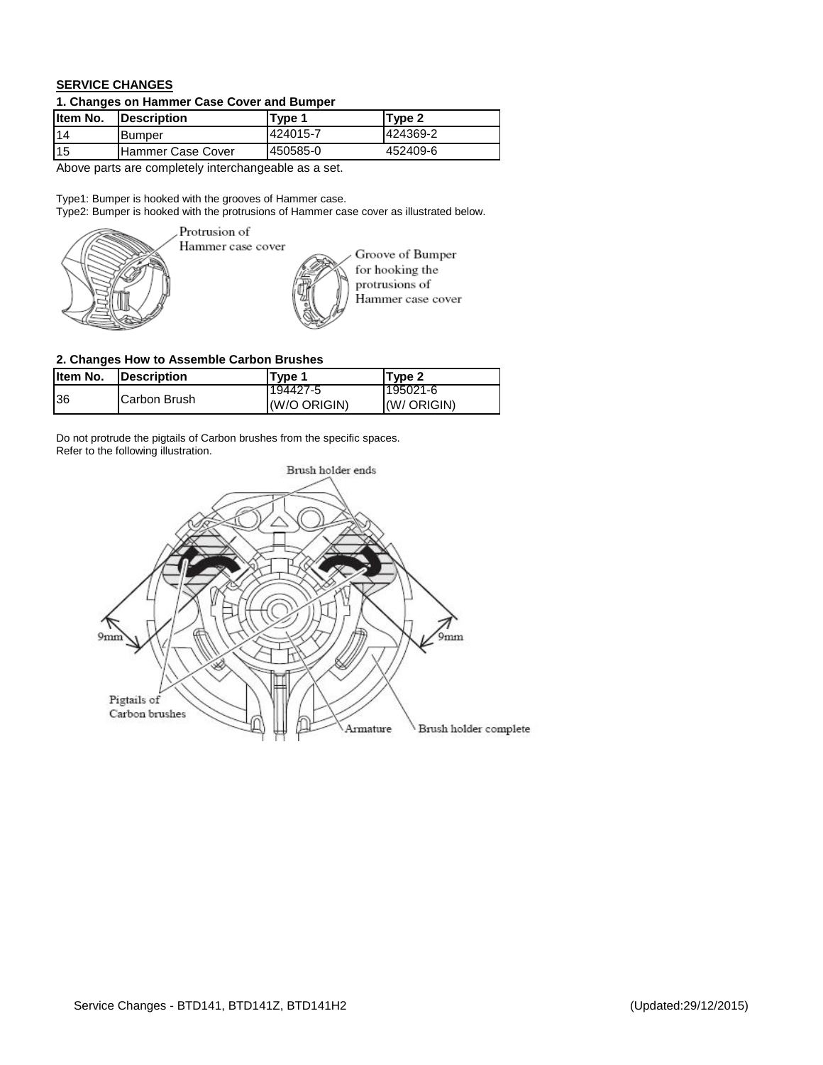## **SERVICE CHANGES**

## **1. Changes on Hammer Case Cover and Bumper**

| Item No. | <b>Description</b> | Type 1   | Type 2   |  |  |
|----------|--------------------|----------|----------|--|--|
| 14       | <b>Bumper</b>      | 424015-7 | 424369-2 |  |  |
| 115      | Hammer Case Cover  | 450585-0 | 452409-6 |  |  |
|          |                    |          |          |  |  |

Above parts are completely interchangeable as a set.

Type1: Bumper is hooked with the grooves of Hammer case.

Type2: Bumper is hooked with the protrusions of Hammer case cover as illustrated below.



Hammer case cover

Groove of Bumper for hooking the protrusions of Hammer case cover

## **2. Changes How to Assemble Carbon Brushes**

| Item No. | <b>IDescription</b>  | Tvpe 1                     | Type 2   |
|----------|----------------------|----------------------------|----------|
|          |                      | 194427-5                   | 195021-6 |
| 36       | <b>ICarbon Brush</b> | (W/O ORIGIN)<br>(W/ORIGIN) |          |

Do not protrude the pigtails of Carbon brushes from the specific spaces. Refer to the following illustration.